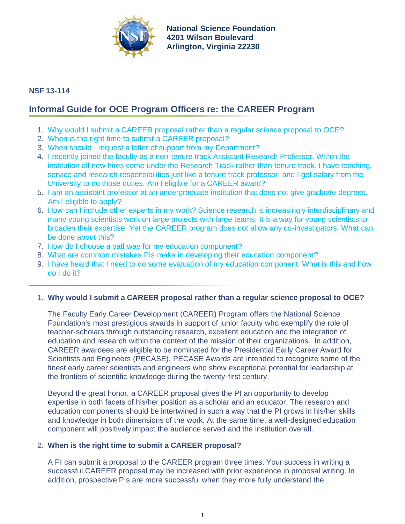

**[National Science Foundation](http://www.nsf.gov) 4201 Wilson Boulevard Arlington, Virginia 22230**

## **NSF 13-114**

# **Informal Guide for OCE Program Officers re: the CAREER Program**

- 1. [Why would I submit a CAREER proposal rather than a regular science proposal to OCE?](#page-0-0)
- 2. [When is the right time to submit a CAREER proposal?](#page-0-1)
- 3. [When should I request a letter of support from my Department?](#page-1-0)
- 4. [I recently joined the faculty as a non-tenure track Assistant Research Professor. Within the](#page-1-1) [institution all new hires come under the Research Track rather than tenure track. I have teaching,](#page-1-1) [service and research responsibilities just like a tenure track professor, and I get salary from the](#page-1-1) [University to do those duties. Am I eligible for a CAREER award?](#page-1-1)
- 5. [I am an assistant professor at an undergraduate institution that does not give graduate degrees.](#page-1-2) [Am I eligible to apply?](#page-1-2)
- 6. [How can I include other experts in my work? Science research is increasingly interdisciplinary and](#page-1-3) [many young scientists work on large projects with large teams. It is a way for young scientists to](#page-1-3) [broaden their expertise. Yet the CAREER program does not allow any co-investigators. What can](#page-1-3) [be done about this?](#page-1-3)
- 7. [How do I choose a pathway for my education component?](#page-1-4)
- 8. [What are common mistakes PIs make in developing their education component?](#page-2-0)
- 9. [I have heard that I need to do some evaluation of my education component. What is this and how](#page-2-1) [do I do it?](#page-2-1)

## <span id="page-0-0"></span>1. **Why would I submit a CAREER proposal rather than a regular science proposal to OCE?**

The Faculty Early Career Development (CAREER) Program offers the National Science Foundation's most prestigious awards in support of junior faculty who exemplify the role of teacher-scholars through outstanding research, excellent education and the integration of education and research within the context of the mission of their organizations. In addition, CAREER awardees are eligible to be nominated for the Presidential Early Career Award for Scientists and Engineers (PECASE). PECASE Awards are intended to recognize some of the finest early career scientists and engineers who show exceptional potential for leadership at the frontiers of scientific knowledge during the twenty-first century.

Beyond the great honor, a CAREER proposal gives the PI an opportunity to develop expertise in both facets of his/her position as a scholar and an educator. The research and education components should be intertwined in such a way that the PI grows in his/her skills and knowledge in both dimensions of the work. At the same time, a well-designed education component will positively impact the audience served and the institution overall.

#### <span id="page-0-1"></span>2. **When is the right time to submit a CAREER proposal?**

A PI can submit a proposal to the CAREER program three times. Your success in writing a successful CAREER proposal may be increased with prior experience in proposal writing. In addition, prospective PIs are more successful when they more fully understand the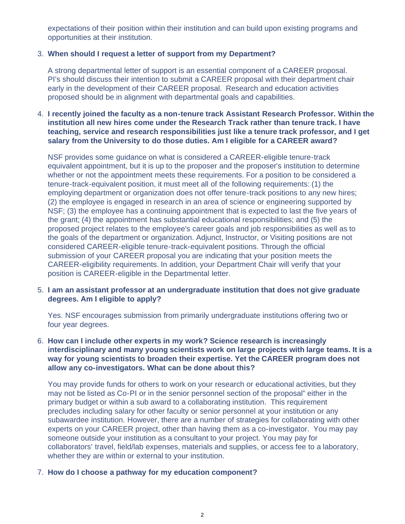expectations of their position within their institution and can build upon existing programs and opportunities at their institution.

## <span id="page-1-0"></span>3. **When should I request a letter of support from my Department?**

A strong departmental letter of support is an essential component of a CAREER proposal. PI's should discuss their intention to submit a CAREER proposal with their department chair early in the development of their CAREER proposal. Research and education activities proposed should be in alignment with departmental goals and capabilities.

### <span id="page-1-1"></span>4. **I recently joined the faculty as a non-tenure track Assistant Research Professor. Within the institution all new hires come under the Research Track rather than tenure track. I have teaching, service and research responsibilities just like a tenure track professor, and I get salary from the University to do those duties. Am I eligible for a CAREER award?**

NSF provides some guidance on what is considered a CAREER-eligible tenure-track equivalent appointment, but it is up to the proposer and the proposer's institution to determine whether or not the appointment meets these requirements. For a position to be considered a tenure-track-equivalent position, it must meet all of the following requirements: (1) the employing department or organization does not offer tenure-track positions to any new hires; (2) the employee is engaged in research in an area of science or engineering supported by NSF; (3) the employee has a continuing appointment that is expected to last the five years of the grant; (4) the appointment has substantial educational responsibilities; and (5) the proposed project relates to the employee's career goals and job responsibilities as well as to the goals of the department or organization. Adjunct, Instructor, or Visiting positions are not considered CAREER-eligible tenure-track-equivalent positions. Through the official submission of your CAREER proposal you are indicating that your position meets the CAREER-eligibility requirements. In addition, your Department Chair will verify that your position is CAREER-eligible in the Departmental letter.

#### <span id="page-1-2"></span>5. **I am an assistant professor at an undergraduate institution that does not give graduate degrees. Am I eligible to apply?**

Yes. NSF encourages submission from primarily undergraduate institutions offering two or four year degrees.

### <span id="page-1-3"></span>6. **How can I include other experts in my work? Science research is increasingly interdisciplinary and many young scientists work on large projects with large teams. It is a way for young scientists to broaden their expertise. Yet the CAREER program does not allow any co-investigators. What can be done about this?**

You may provide funds for others to work on your research or educational activities, but they may not be listed as Co-PI or in the senior personnel section of the proposal" either in the primary budget or within a sub award to a collaborating institution. This requirement precludes including salary for other faculty or senior personnel at your institution or any subawardee institution. However, there are a number of strategies for collaborating with other experts on your CAREER project, other than having them as a co-investigator. You may pay someone outside your institution as a consultant to your project. You may pay for collaborators' travel, field/lab expenses, materials and supplies, or access fee to a laboratory, whether they are within or external to your institution.

#### <span id="page-1-4"></span>7. **How do I choose a pathway for my education component?**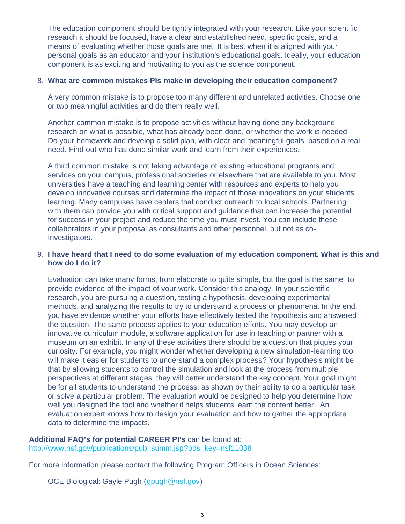The education component should be tightly integrated with your research. Like your scientific research it should be focused, have a clear and established need, specific goals, and a means of evaluating whether those goals are met. It is best when it is aligned with your personal goals as an educator and your institution's educational goals. Ideally, your education component is as exciting and motivating to you as the science component.

#### <span id="page-2-0"></span>8. **What are common mistakes PIs make in developing their education component?**

A very common mistake is to propose too many different and unrelated activities. Choose one or two meaningful activities and do them really well.

Another common mistake is to propose activities without having done any background research on what is possible, what has already been done, or whether the work is needed. Do your homework and develop a solid plan, with clear and meaningful goals, based on a real need. Find out who has done similar work and learn from their experiences.

A third common mistake is not taking advantage of existing educational programs and services on your campus, professional societies or elsewhere that are available to you. Most universities have a teaching and learning center with resources and experts to help you develop innovative courses and determine the impact of those innovations on your students' learning. Many campuses have centers that conduct outreach to local schools. Partnering with them can provide you with critical support and guidance that can increase the potential for success in your project and reduce the time you must invest. You can include these collaborators in your proposal as consultants and other personnel, but not as co-Investigators.

#### <span id="page-2-1"></span>9. **I have heard that I need to do some evaluation of my education component. What is this and how do I do it?**

Evaluation can take many forms, from elaborate to quite simple, but the goal is the same" to provide evidence of the impact of your work. Consider this analogy. In your scientific research, you are pursuing a question, testing a hypothesis, developing experimental methods, and analyzing the results to try to understand a process or phenomena. In the end, you have evidence whether your efforts have effectively tested the hypothesis and answered the question. The same process applies to your education efforts. You may develop an innovative curriculum module, a software application for use in teaching or partner with a museum on an exhibit. In any of these activities there should be a question that piques your curiosity. For example, you might wonder whether developing a new simulation-learning tool will make it easier for students to understand a complex process? Your hypothesis might be that by allowing students to control the simulation and look at the process from multiple perspectives at different stages, they will better understand the key concept. Your goal might be for all students to understand the process, as shown by their ability to do a particular task or solve a particular problem. The evaluation would be designed to help you determine how well you designed the tool and whether it helps students learn the content better. An evaluation expert knows how to design your evaluation and how to gather the appropriate data to determine the impacts.

#### **Additional FAQ's for potential CAREER PI's** can be found at:

[http://www.nsf.gov/publications/pub\\_summ.jsp?ods\\_key=nsf11038](http://www.nsf.gov/publications/pub_summ.jsp?ods_key=nsf11038)

For more information please contact the following Program Officers in Ocean Sciences:

OCE Biological: Gayle Pugh ([gpugh@nsf.gov\)](mailto:gpugh@nsf.gov)